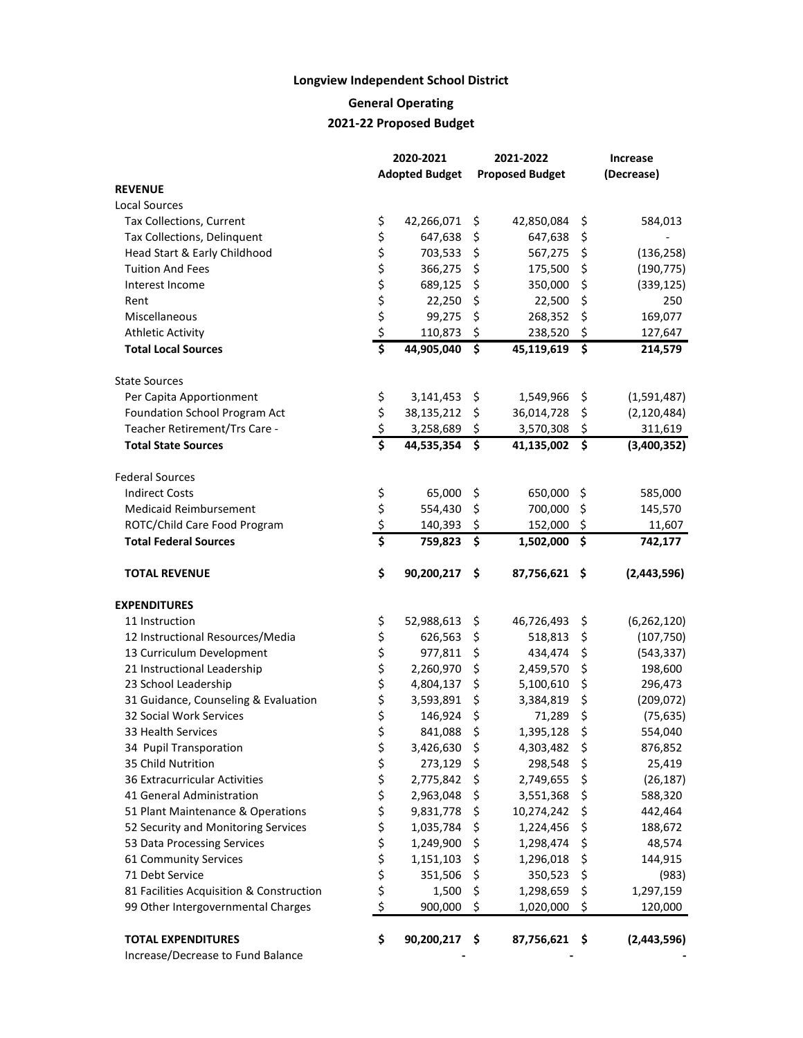## **Longview Independent School District**

**General Operating**

## **2021-22 Proposed Budget**

|                                          | 2020-2021     |                       |    | 2021-2022              | <b>Increase</b> |               |  |
|------------------------------------------|---------------|-----------------------|----|------------------------|-----------------|---------------|--|
|                                          |               | <b>Adopted Budget</b> |    | <b>Proposed Budget</b> | (Decrease)      |               |  |
| <b>REVENUE</b>                           |               |                       |    |                        |                 |               |  |
| <b>Local Sources</b>                     |               |                       |    |                        |                 |               |  |
| Tax Collections, Current                 | \$            | 42,266,071            | \$ | 42,850,084             | \$              | 584,013       |  |
| Tax Collections, Delinquent              | \$            | 647,638               | \$ | 647,638                | \$              |               |  |
| Head Start & Early Childhood             | \$            | 703,533               | \$ | 567,275                | \$              | (136, 258)    |  |
| <b>Tuition And Fees</b>                  | \$            | 366,275               | \$ | 175,500                | \$              | (190, 775)    |  |
| Interest Income                          | \$            | 689,125               | \$ | 350,000                | \$              | (339, 125)    |  |
| Rent                                     | \$\$\$        | 22,250                | \$ | 22,500                 | \$              | 250           |  |
| Miscellaneous                            |               | 99,275                | \$ | 268,352                | \$              | 169,077       |  |
| <b>Athletic Activity</b>                 |               | 110,873               | \$ | 238,520                | \$              | 127,647       |  |
| <b>Total Local Sources</b>               | \$            | 44,905,040            | \$ | 45,119,619             | \$              | 214,579       |  |
| <b>State Sources</b>                     |               |                       |    |                        |                 |               |  |
| Per Capita Apportionment                 | \$            | 3,141,453             | \$ | 1,549,966              | \$              | (1,591,487)   |  |
| Foundation School Program Act            |               | 38,135,212            | \$ | 36,014,728             | \$              | (2, 120, 484) |  |
| Teacher Retirement/Trs Care -            | $\frac{5}{5}$ | 3,258,689             | \$ | 3,570,308              | \$              | 311,619       |  |
| <b>Total State Sources</b>               |               | 44,535,354            | \$ | 41,135,002             | \$              | (3,400,352)   |  |
| <b>Federal Sources</b>                   |               |                       |    |                        |                 |               |  |
| <b>Indirect Costs</b>                    | \$            | 65,000                | \$ | 650,000 \$             |                 | 585,000       |  |
| <b>Medicaid Reimbursement</b>            |               | 554,430               | \$ | 700,000                | \$              | 145,570       |  |
| ROTC/Child Care Food Program             | \$<br>\$      | 140,393               | \$ | 152,000                | -\$             | 11,607        |  |
| <b>Total Federal Sources</b>             | \$            | 759,823               | \$ | 1,502,000              | \$              | 742,177       |  |
| <b>TOTAL REVENUE</b>                     | \$            | 90,200,217            | \$ | 87,756,621 \$          |                 | (2,443,596)   |  |
| <b>EXPENDITURES</b>                      |               |                       |    |                        |                 |               |  |
| 11 Instruction                           | \$            | 52,988,613            | \$ | 46,726,493             | \$              | (6, 262, 120) |  |
| 12 Instructional Resources/Media         | \$            | 626,563               | \$ | 518,813                | \$              | (107, 750)    |  |
| 13 Curriculum Development                | \$            | 977,811               | \$ | 434,474                | \$              | (543, 337)    |  |
| 21 Instructional Leadership              | \$            | 2,260,970             | \$ | 2,459,570              | \$              | 198,600       |  |
| 23 School Leadership                     | \$            | 4,804,137             | \$ | 5,100,610              | \$              | 296,473       |  |
| 31 Guidance, Counseling & Evaluation     | \$            | 3,593,891             | \$ | 3,384,819              | \$              | (209, 072)    |  |
| 32 Social Work Services                  | \$            | 146,924               | \$ | 71,289                 | \$              | (75, 635)     |  |
| 33 Health Services                       | \$            | 841,088               | \$ | 1,395,128              | \$              | 554,040       |  |
| 34 Pupil Transporation                   | \$            | 3,426,630             | \$ | 4,303,482              | \$              | 876,852       |  |
| 35 Child Nutrition                       | \$            | 273,129               | \$ | 298,548                | \$              | 25,419        |  |
| 36 Extracurricular Activities            | \$            | 2,775,842             | \$ | 2,749,655              | \$              | (26, 187)     |  |
| 41 General Administration                | \$            | 2,963,048             | \$ | 3,551,368              | \$              | 588,320       |  |
| 51 Plant Maintenance & Operations        | \$            | 9,831,778             | \$ | 10,274,242             | \$              | 442,464       |  |
| 52 Security and Monitoring Services      | \$            | 1,035,784             | \$ | 1,224,456              | \$              | 188,672       |  |
| 53 Data Processing Services              | \$            | 1,249,900             | \$ | 1,298,474              | \$              | 48,574        |  |
| 61 Community Services                    | \$            | 1,151,103             | \$ | 1,296,018              | \$              | 144,915       |  |
| 71 Debt Service                          | \$            | 351,506               | \$ | 350,523                | \$              | (983)         |  |
| 81 Facilities Acquisition & Construction | \$            | 1,500                 | \$ | 1,298,659              | \$              | 1,297,159     |  |
| 99 Other Intergovernmental Charges       | \$            | 900,000               | \$ | 1,020,000              | \$              | 120,000       |  |
| <b>TOTAL EXPENDITURES</b>                | \$            | 90,200,217            | \$ | 87,756,621             | \$              | (2,443,596)   |  |
| Increase/Decrease to Fund Balance        |               |                       |    |                        |                 |               |  |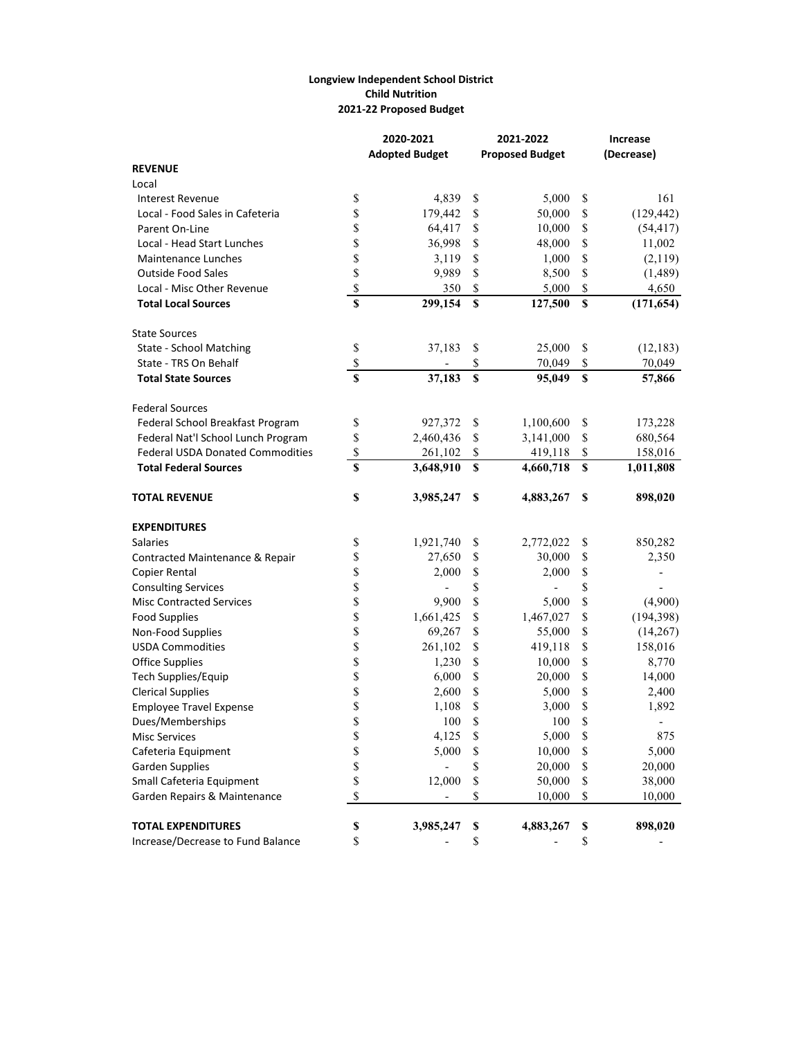## **Longview Independent School District Child Nutrition 2021-22 Proposed Budget**

|                                         |                           | 2020-2021             |             | 2021-2022              |                           | Increase   |  |  |
|-----------------------------------------|---------------------------|-----------------------|-------------|------------------------|---------------------------|------------|--|--|
|                                         |                           | <b>Adopted Budget</b> |             | <b>Proposed Budget</b> | (Decrease)                |            |  |  |
| <b>REVENUE</b>                          |                           |                       |             |                        |                           |            |  |  |
| Local                                   |                           |                       |             |                        |                           |            |  |  |
| <b>Interest Revenue</b>                 | \$                        | 4,839                 | \$          | 5,000                  | \$                        | 161        |  |  |
| Local - Food Sales in Cafeteria         | \$                        | 179,442               | \$          | 50,000                 | \$                        | (129, 442) |  |  |
| Parent On-Line                          | \$                        | 64,417                | \$          | 10,000                 | \$                        | (54, 417)  |  |  |
| Local - Head Start Lunches              | \$                        | 36,998                | \$          | 48,000                 | \$                        | 11,002     |  |  |
| <b>Maintenance Lunches</b>              | \$                        | 3,119                 | \$          | 1,000                  | \$                        | (2,119)    |  |  |
| <b>Outside Food Sales</b>               | \$                        | 9,989                 | \$          | 8,500                  | \$                        | (1,489)    |  |  |
| Local - Misc Other Revenue              | \$                        | 350                   | \$          | 5,000                  | $\boldsymbol{\mathsf{S}}$ | 4,650      |  |  |
| <b>Total Local Sources</b>              | \$                        | 299,154               | \$          | 127,500                | $\boldsymbol{\mathsf{S}}$ | (171, 654) |  |  |
| <b>State Sources</b>                    |                           |                       |             |                        |                           |            |  |  |
| State - School Matching                 | \$                        | 37,183                | \$          | 25,000                 | \$                        | (12, 183)  |  |  |
| State - TRS On Behalf                   | \$                        |                       | \$          | 70,049                 | \$                        | 70,049     |  |  |
| <b>Total State Sources</b>              | \$                        | 37,183                | \$          | 95,049                 | $\boldsymbol{\mathsf{s}}$ | 57,866     |  |  |
| <b>Federal Sources</b>                  |                           |                       |             |                        |                           |            |  |  |
| Federal School Breakfast Program        | \$                        | 927,372               | \$          | 1,100,600              | \$                        | 173,228    |  |  |
| Federal Nat'l School Lunch Program      | \$                        | 2,460,436             | \$          | 3,141,000              | \$                        | 680,564    |  |  |
| <b>Federal USDA Donated Commodities</b> | \$                        | 261,102               | \$          | 419,118                | \$                        | 158,016    |  |  |
| <b>Total Federal Sources</b>            | \$                        | 3,648,910             | $\mathbf S$ | 4,660,718              | $\boldsymbol{\mathsf{S}}$ | 1,011,808  |  |  |
| <b>TOTAL REVENUE</b>                    | \$                        | 3,985,247             | \$          | 4,883,267              | <sup>\$</sup>             | 898,020    |  |  |
| <b>EXPENDITURES</b>                     |                           |                       |             |                        |                           |            |  |  |
| <b>Salaries</b>                         | \$                        | 1,921,740             | \$          | 2,772,022              | \$                        | 850,282    |  |  |
| Contracted Maintenance & Repair         | \$                        | 27,650                | \$          | 30,000                 | \$                        | 2,350      |  |  |
| Copier Rental                           | \$                        | 2,000                 | \$          | 2,000                  | \$                        |            |  |  |
| <b>Consulting Services</b>              | \$                        |                       | \$          |                        | \$                        |            |  |  |
| <b>Misc Contracted Services</b>         | \$                        | 9,900                 | \$          | 5,000                  | \$                        | (4,900)    |  |  |
| <b>Food Supplies</b>                    | \$                        | 1,661,425             | \$          | 1,467,027              | \$                        | (194, 398) |  |  |
| Non-Food Supplies                       | \$                        | 69,267                | \$          | 55,000                 | \$                        | (14,267)   |  |  |
| <b>USDA Commodities</b>                 | \$                        | 261,102               | \$          | 419,118                | \$                        | 158,016    |  |  |
| <b>Office Supplies</b>                  | \$                        | 1,230                 | \$          | 10,000                 | \$                        | 8,770      |  |  |
| Tech Supplies/Equip                     | \$                        | 6,000                 | \$          | 20,000                 | \$                        | 14,000     |  |  |
| <b>Clerical Supplies</b>                | \$                        | 2,600                 | \$          | 5,000                  | \$                        | 2,400      |  |  |
| <b>Employee Travel Expense</b>          | \$                        | 1,108                 | \$          | 3,000                  | \$                        | 1,892      |  |  |
| Dues/Memberships                        | \$                        | 100                   | \$          | 100                    | \$                        |            |  |  |
| <b>Misc Services</b>                    | \$                        | 4,125                 | \$          | 5,000                  | \$                        | 875        |  |  |
| Cafeteria Equipment                     | \$                        | 5,000                 | \$          | 10,000                 | \$                        | 5,000      |  |  |
| <b>Garden Supplies</b>                  | \$                        |                       | \$          | 20,000                 | \$                        | 20,000     |  |  |
| Small Cafeteria Equipment               | \$                        | 12,000                | \$          | 50,000                 | \$                        | 38,000     |  |  |
| Garden Repairs & Maintenance            | \$                        |                       | \$          | 10,000                 | \$                        | 10,000     |  |  |
| <b>TOTAL EXPENDITURES</b>               | $\boldsymbol{\mathsf{S}}$ | 3,985,247             | \$          | 4,883,267              | \$                        | 898,020    |  |  |
| Increase/Decrease to Fund Balance       | \$                        |                       | \$          |                        | \$                        |            |  |  |